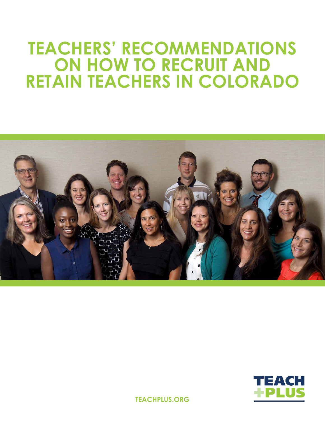# **TEACHERS' RECOMMENDATIONS ON HOW TO RECRUIT AND RETAIN TEACHERS IN COLORADO**





**TEACHPLUS.ORG**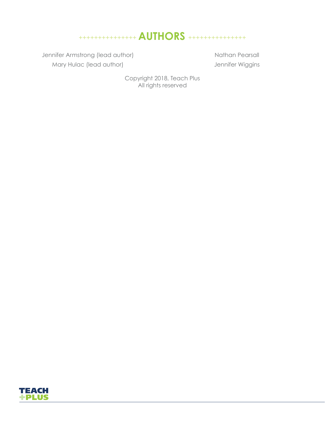# +++++++++++++++ **AUTHORS** +++++++++++++++

Jennifer Armstrong (lead author) Mary Hulac (lead author)

Nathan Pearsall Jennifer Wiggins

Copyright 2018, Teach Plus All rights reserved

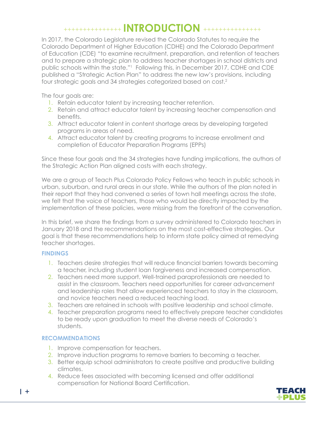### +++++++++++++++ **INTRODUCTION** +++++++++++++++

In 2017, the Colorado Legislature revised the Colorado Statutes to require the Colorado Department of Higher Education (CDHE) and the Colorado Department of Education (CDE) "to examine recruitment, preparation, and retention of teachers and to prepare a strategic plan to address teacher shortages in school districts and public schools within the state."1 Following this, in December 2017, CDHE and CDE published a "Strategic Action Plan" to address the new law's provisions, including four strategic goals and 34 strategies categorized based on cost.2

The four goals are:

- 1. Retain educator talent by increasing teacher retention.
- 2. Retain and attract educator talent by increasing teacher compensation and benefits.
- 3. Attract educator talent in content shortage areas by developing targeted programs in areas of need.
- 4. Attract educator talent by creating programs to increase enrollment and completion of Educator Preparation Programs (EPPs)

Since these four goals and the 34 strategies have funding implications, the authors of the Strategic Action Plan aligned costs with each strategy.

We are a group of Teach Plus Colorado Policy Fellows who teach in public schools in urban, suburban, and rural areas in our state. While the authors of the plan noted in their report that they had convened a series of town hall meetings across the state, we felt that the voice of teachers, those who would be directly impacted by the implementation of these policies, were missing from the forefront of the conversation.

In this brief, we share the findings from a survey administered to Colorado teachers in January 2018 and the recommendations on the most cost-effective strategies. Our goal is that these recommendations help to inform state policy aimed at remedying teacher shortages.

### **FINDINGS**

- 1. Teachers desire strategies that will reduce financial barriers towards becoming a teacher, including student loan forgiveness and increased compensation.
- 2. Teachers need more support. Well-trained paraprofessionals are needed to assist in the classroom. Teachers need opportunities for career advancement and leadership roles that allow experienced teachers to stay in the classroom, and novice teachers need a reduced teaching load.
- 3. Teachers are retained in schools with positive leadership and school climate.
- 4. Teacher preparation programs need to effectively prepare teacher candidates to be ready upon graduation to meet the diverse needs of Colorado's students.

### **RECOMMENDATIONS**

- 1. Improve compensation for teachers.
- 2. Improve induction programs to remove barriers to becoming a teacher.
- 3. Better equip school administrators to create positive and productive building climates.
- 4. Reduce fees associated with becoming licensed and offer additional compensation for National Board Certification.

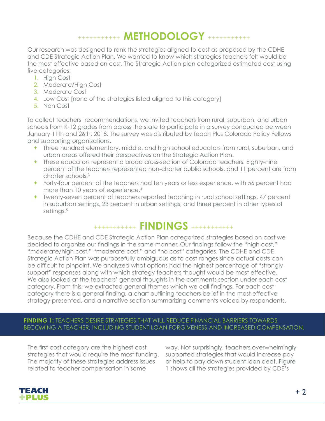# +++++++++++ **METHODOLOGY** +++++++++++

Our research was designed to rank the strategies aligned to cost as proposed by the CDHE and CDE Strategic Action Plan. We wanted to know which strategies teachers felt would be the most effective based on cost. The Strategic Action plan categorized estimated cost using five categories:

- 1. High Cost
- 2. Moderate/High Cost
- 3. Moderate Cost
- 4. Low Cost [none of the strategies listed aligned to this category]
- 5. Non Cost

To collect teachers' recommendations, we invited teachers from rural, suburban, and urban schools from K-12 grades from across the state to participate in a survey conducted between January 11th and 26th, 2018. The survey was distributed by Teach Plus Colorado Policy Fellows and supporting organizations.

- **+** Three hundred elementary, middle, and high school educators from rural, suburban, and urban areas offered their perspectives on the Strategic Action Plan.
- **+** These educators represent a broad cross-section of Colorado teachers. Eighty-nine percent of the teachers represented non-charter public schools, and 11 percent are from charter schools.3
- **+** Forty-four percent of the teachers had ten years or less experience, with 56 percent had more than 10 years of experience.<sup>4</sup>
- **+** Twenty-seven percent of teachers reported teaching in rural school settings, 47 percent in suburban settings, 23 percent in urban settings, and three percent in other types of settings.<sup>5</sup>

# +++++++++++ **FINDINGS** +++++++++++

Because the CDHE and CDE Strategic Action Plan categorized strategies based on cost we decided to organize our findings in the same manner. Our findings follow the "high cost," "moderate/high cost," "moderate cost," and "no cost" categories. The CDHE and CDE Strategic Action Plan was purposefully ambiguous as to cost ranges since actual costs can be difficult to pinpoint. We analyzed what options had the highest percentage of "strongly support" responses along with which strategy teachers thought would be most effective. We also looked at the teachers' general thoughts in the comments section under each cost category. From this, we extracted general themes which we call findings. For each cost category there is a general finding, a chart outlining teachers belief in the most effective strategy presented, and a narrative section summarizing comments voiced by respondents.

### **FINDING 1:** TEACHERS DESIRE STRATEGIES THAT WILL REDUCE FINANCIAL BARRIERS TOWARDS BECOMING A TEACHER, INCLUDING STUDENT LOAN FORGIVENESS AND INCREASED COMPENSATION.

The first cost category are the highest cost strategies that would require the most funding. The majority of these strategies address issues related to teacher compensation in some

way. Not surprisingly, teachers overwhelmingly supported strategies that would increase pay or help to pay down student loan debt. Figure 1 shows all the strategies provided by CDE's

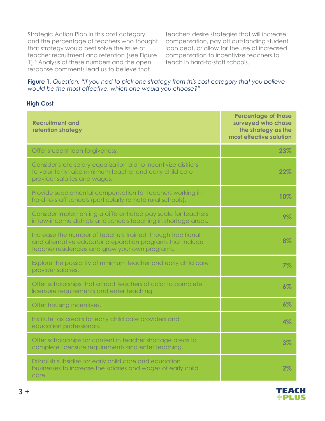Strategic Action Plan in this cost category and the percentage of teachers who thought that strategy would best solve the issue of teacher recruitment and retention (see Figure 1).<sup>6</sup> Analysis of these numbers and the open response comments lead us to believe that

teachers desire strategies that will increase compensation, pay off outstanding student loan debt, or allow for the use of increased compensation to incentivize teachers to teach in hard-to-staff schools.

#### **Figure 1***. Question: "If you had to pick one strategy from this cost category that you believe would be the most effective, which one would you choose?"*

#### **High Cost**

| <b>Recruitment and</b><br>retention strategy                                                                                                                                 | <b>Percentage of those</b><br>surveyed who chose<br>the strategy as the<br>most effective solution |
|------------------------------------------------------------------------------------------------------------------------------------------------------------------------------|----------------------------------------------------------------------------------------------------|
| Offer student loan forgiveness.                                                                                                                                              | 23%                                                                                                |
| Consider state salary equalization aid to incentivize districts<br>to voluntarily raise minimum teacher and early child care<br>provider salaries and wages.                 | 22%                                                                                                |
| Provide supplemental compensation for teachers working in<br>hard-to-staff schools (particularly remote rural schools).                                                      | 10%                                                                                                |
| Consider implementing a differentiated pay scale for teachers<br>in low-income districts and schools teaching in shortage areas.                                             | 9%                                                                                                 |
| Increase the number of teachers trained through traditional<br>and alternative educator preparation programs that include<br>teacher residencies and grow your own programs. | 8%                                                                                                 |
| Explore the possibility of minimum teacher and early child care<br>provider salaries.                                                                                        | 7%                                                                                                 |
| Offer scholarships that attract teachers of color to complete<br>licensure requirements and enter teaching.                                                                  | $6\%$                                                                                              |
| Offer housing incentives.                                                                                                                                                    | 6%                                                                                                 |
| Institute tax credits for early child care providers and<br>education professionals.                                                                                         | 4%                                                                                                 |
| Offer scholarships for content in teacher shortage areas to<br>complete licensure requirements and enter teaching.                                                           | 3%                                                                                                 |
| Establish subsidies for early child care and education<br>businesses to increase the salaries and wages of early child<br>care.                                              | 2%                                                                                                 |

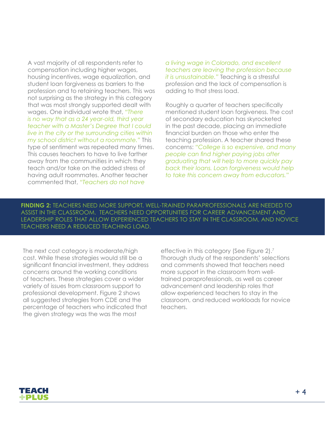A vast majority of all respondents refer to compensation including higher wages, housing incentives, wage equalization, and student loan forgiveness as barriers to the profession and to retaining teachers. This was not surprising as the strategy in this category that was most strongly supported dealt with wages. One individual wrote that, *"There is no way that as a 24 year-old, third year teacher with a Master's Degree that I could live in the city or the surrounding cities within my school district without a roommate."* This type of sentiment was repeated many times. This causes teachers to have to live farther away from the communities in which they teach and/or take on the added stress of having adult roommates. Another teacher commented that, *"Teachers do not have* 

*a living wage in Colorado, and excellent teachers are leaving the profession because it is unsustainable."* Teaching is a stressful profession and the lack of compensation is adding to that stress load.

Roughly a quarter of teachers specifically mentioned student loan forgiveness. The cost of secondary education has skyrocketed in the past decade, placing an immediate financial burden on those who enter the teaching profession. A teacher shared these concerns: *"College is so expensive, and many people can find higher paying jobs after graduating that will help to more quickly pay back their loans. Loan forgiveness would help to take this concern away from educators."* 

**FINDING 2:** TEACHERS NEED MORE SUPPORT. WELL-TRAINED PARAPROFESSIONALS ARE NEEDED TO ASSIST IN THE CLASSROOM. TEACHERS NEED OPPORTUNITIES FOR CAREER ADVANCEMENT AND LEADERSHIP ROLES THAT ALLOW EXPERIENCED TEACHERS TO STAY IN THE CLASSROOM, AND NOVICE TEACHERS NEED A REDUCED TEACHING LOAD.

The next cost category is moderate/high cost. While these strategies would still be a significant financial investment, they address concerns around the working conditions of teachers. These strategies cover a wider variety of issues from classroom support to professional development. Figure 2 shows all suggested strategies from CDE and the percentage of teachers who indicated that the given strategy was the was the most

effective in this category (See Figure 2).7 Thorough study of the respondents' selections and comments showed that teachers need more support in the classroom from welltrained paraprofessionals, as well as career advancement and leadership roles that allow experienced teachers to stay in the classroom, and reduced workloads for novice teachers.

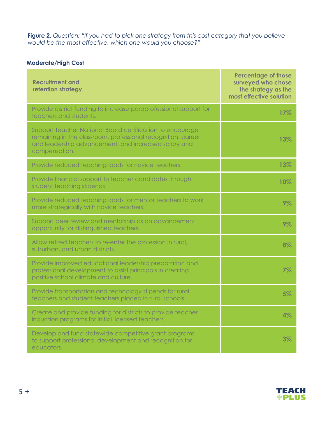**Figure 2.** *Question: "If you had to pick one strategy from this cost category that you believe would be the most effective, which one would you choose?"* 

### **Moderate/High Cost**

| <b>Recruitment and</b><br>retention strategy                                                                                                                                                       | <b>Percentage of those</b><br>surveyed who chose<br>the strategy as the<br>most effective solution |
|----------------------------------------------------------------------------------------------------------------------------------------------------------------------------------------------------|----------------------------------------------------------------------------------------------------|
| Provide district funding to increase paraprofessional support for<br>teachers and students.                                                                                                        | 17%                                                                                                |
| Support teacher National Board certification to encourage<br>remaining in the classroom, professional recognition, career<br>and leadership advancement, and increased salary and<br>compensation. | 13%                                                                                                |
| Provide reduced teaching loads for novice teachers.                                                                                                                                                | 13%                                                                                                |
| Provide financial support to teacher candidates through<br>student teaching stipends.                                                                                                              | 10%                                                                                                |
| Provide reduced teaching loads for mentor teachers to work<br>more strategically with novice teachers.                                                                                             | 9%                                                                                                 |
| Support peer review and mentorship as an advancement<br>opportunity for distinguished teachers.                                                                                                    | 9%                                                                                                 |
| Allow retired teachers to re-enter the profession in rural,<br>suburban, and urban districts.                                                                                                      | 8%                                                                                                 |
| Provide improved educational leadership preparation and<br>professional development to assist principals in creating<br>positive school climate and culture.                                       | 7%                                                                                                 |
| Provide transportation and technology stipends for rural<br>teachers and student teachers placed in rural schools.                                                                                 | 5%                                                                                                 |
| Create and provide funding for districts to provide teacher<br>induction programs for initial licensed teachers.                                                                                   | 4%                                                                                                 |
| Develop and fund statewide competitive grant programs<br>to support professional development and recognition for<br>educators.                                                                     | 3%                                                                                                 |



 $5 +$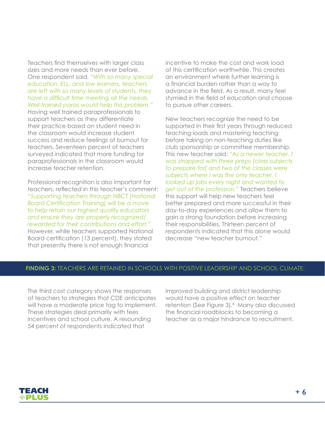Teachers find themselves with larger class sizes and more needs than ever before. One respondent said, *"With so many special education, ELL, and low learners, teachers are left with so many levels of students, they have a difficult time meeting all the needs. Well-trained paras would help this problem."* Having well trained paraprofessionals to support teachers as they differentiate their practice based on student need in the classroom would increase student success and reduce feelings of burnout for teachers. Seventeen percent of teachers surveyed indicated that more funding for paraprofessionals in the classroom would increase teacher retention.

Professional recognition is also important for teachers, reflected in this teacher's comment: *"Supporting teachers through NBCT [National Board Certification Training] will be a move to help retain our highest quality educators and ensure they are properly recognized/ rewarded for their contributions and effort."* However, while teachers supported National Board certification (13 percent), they stated that presently there is not enough financial

incentive to make the cost and work load of this certification worthwhile. This creates an environment where further learning is a financial burden rather than a way to advance in the field. As a result, many feel stymied in the field of education and choose to pursue other careers.

New teachers recognize the need to be supported in their first years through reduced teaching loads and mastering teaching before taking on non-teaching duties like club sponsorship or committee membership. This new teacher said: *"As a newer teacher, I was strapped with three preps [class subjects to prepare for] and two of the classes were subjects where I was the only teacher. I looked up jobs every night and wanted to get out of the profession."* Teachers believe this support will help new teachers feel better prepared and more successful in their day-to-day experiences and allow them to gain a strong foundation before increasing their responsibilities. Thirteen percent of respondents indicated that this alone would decrease "new teacher burnout."

#### **FINDING 3:** TEACHERS ARE RETAINED IN SCHOOLS WITH POSITIVE LEADERSHIP AND SCHOOL CLIMATE.

The third cost category shows the responses of teachers to strategies that CDE anticipates will have a moderate price tag to implement. These strategies deal primarily with fees incentives and school culture. A resounding 54 percent of respondents indicated that

improved building and district leadership would have a positive effect on teacher retention (See Figure 3).8 Many also discussed the financial roadblocks to becoming a teacher as a major hindrance to recruitment.

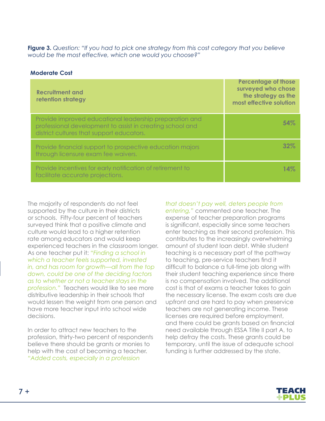**Figure 3.** *Question: "If you had to pick one strategy from this cost category that you believe would be the most effective, which one would you choose?"* 

#### **Moderate Cost**

| <b>Recruitment and</b><br>retention strategy                                                                                                                      | <b>Percentage of those</b><br>surveyed who chose<br>the strategy as the<br>most effective solution |
|-------------------------------------------------------------------------------------------------------------------------------------------------------------------|----------------------------------------------------------------------------------------------------|
| Provide improved educational leadership preparation and<br>professional development to assist in creating school and<br>district cultures that support educators. | 54%                                                                                                |
| Provide financial support to prospective education majors<br>through licensure exam fee waivers.                                                                  | 32%                                                                                                |
| Provide incentives for early notification of retirement to<br>facilitate accurate projections.                                                                    | 14%                                                                                                |

The majority of respondents do not feel supported by the culture in their districts or schools. Fifty-four percent of teachers surveyed think that a positive climate and culture would lead to a higher retention rate among educators and would keep experienced teachers in the classroom longer. As one teacher put it: *"Finding a school in which a teacher feels supported, invested in, and has room for growth—all from the top down, could be one of the deciding factors as to whether or not a teacher stays in the profession."* Teachers would like to see more distributive leadership in their schools that would lessen the weight from one person and have more teacher input into school wide decisions.

In order to attract new teachers to the profession, thirty-two percent of respondents believe there should be grants or monies to help with the cost of becoming a teacher. *"Added costs, especially in a profession* 

*that doesn't pay well, deters people from* 

*entering,"* commented one teacher. The expense of teacher preparation programs is significant, especially since some teachers enter teaching as their second profession. This contributes to the increasingly overwhelming amount of student loan debt. While student teaching is a necessary part of the pathway to teaching, pre-service teachers find it difficult to balance a full-time job along with their student teaching experience since there is no compensation involved. The additional cost is that of exams a teacher takes to gain the necessary license. The exam costs are due upfront and are hard to pay when preservice teachers are not generating income. These licenses are required before employment, and there could be grants based on financial need available through ESSA Title II part A, to help defray the costs. These grants could be temporary, until the issue of adequate school funding is further addressed by the state.

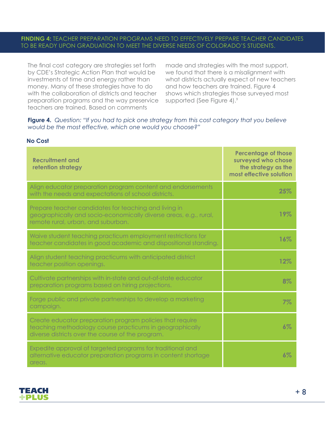#### **FINDING 4:** TEACHER PREPARATION PROGRAMS NEED TO EFFECTIVELY PREPARE TEACHER CANDIDATES TO BE READY UPON GRADUATION TO MEET THE DIVERSE NEEDS OF COLORADO'S STUDENTS.

The final cost category are strategies set forth by CDE's Strategic Action Plan that would be investments of time and energy rather than money. Many of these strategies have to do with the collaboration of districts and teacher preparation programs and the way preservice teachers are trained. Based on comments

made and strategies with the most support, we found that there is a misalignment with what districts actually expect of new teachers and how teachers are trained. Figure 4 shows which strategies those surveyed most supported (See Figure 4).<sup>9</sup>

**Figure 4.** *Question: "If you had to pick one strategy from this cost category that you believe would be the most effective, which one would you choose?"*

| <b>No Cost</b> |  |
|----------------|--|
|----------------|--|

| <b>Recruitment and</b><br>retention strategy                                                                                                                               | <b>Percentage of those</b><br>surveyed who chose<br>the strategy as the<br>most effective solution |
|----------------------------------------------------------------------------------------------------------------------------------------------------------------------------|----------------------------------------------------------------------------------------------------|
| Align educator preparation program content and endorsements<br>with the needs and expectations of school districts.                                                        | 25%                                                                                                |
| Prepare teacher candidates for teaching and living in<br>geographically and socio-economically diverse areas, e.g., rural,<br>remote rural, urban, and suburban.           | 19%                                                                                                |
| Waive student teaching practicum employment restrictions for<br>teacher candidates in good academic and dispositional standing.                                            | 16%                                                                                                |
| Align student teaching practicums with anticipated district<br>teacher position openings.                                                                                  | 12%                                                                                                |
| Cultivate partnerships with in-state and out-of-state educator<br>preparation programs based on hiring projections.                                                        | 8%                                                                                                 |
| Forge public and private partnerships to develop a marketing<br>campaign.                                                                                                  | 7%                                                                                                 |
| Create educator preparation program policies that require<br>teaching methodology course practicums in geographically<br>diverse districts over the course of the program. | 6%                                                                                                 |
| Expedite approval of targeted programs for traditional and<br>alternative educator preparation programs in content shortage<br>areas.                                      | $6\%$                                                                                              |

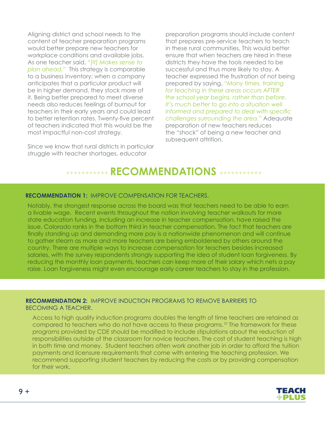Aligning district and school needs to the content of teacher preparation programs would better prepare new teachers for workplace conditions and available jobs. As one teacher said, *"[It] Makes sense to plan ahead."* This strategy is comparable to a business inventory; when a company anticipates that a particular product will be in higher demand, they stock more of it. Being better prepared to meet diverse needs also reduces feelings of burnout for teachers in their early years and could lead to better retention rates. Twenty-five percent of teachers indicated that this would be the most impactful non-cost strategy.

Since we know that rural districts in particular struggle with teacher shortages, educator

preparation programs should include content that prepares pre-service teachers to teach in these rural communities. This would better ensure that when teachers are hired in these districts they have the tools needed to be successful and thus more likely to stay. A teacher expressed the frustration of not being prepared by saying, *"Many times, training for teaching in these areas occurs AFTER the school year begins, rather than before. It's much better to go into a situation well informed and prepared to deal with specific challenges surrounding the area."* Adequate preparation of new teachers reduces the "shock" of being a new teacher and subsequent attrition.

# +++++++++++ **RECOMMENDATIONS** +++++++++++

#### **RECOMMENDATION 1:** IMPROVE COMPENSATION FOR TEACHERS.

Notably, the strongest response across the board was that teachers need to be able to earn a livable wage. Recent events throughout the nation involving teacher walkouts for more state education funding, including an increase in teacher compensation, have raised the issue. Colorado ranks in the bottom third in teacher compensation. The fact that teachers are finally standing up and demanding more pay is a nationwide phenomenon and will continue to gather steam as more and more teachers are being emboldened by others around the country. There are multiple ways to increase compensation for teachers besides increased salaries, with the survey respondents strongly supporting the idea of student loan forgiveness. By reducing the monthly loan payments, teachers can keep more of their salary which nets a pay raise. Loan forgiveness might even encourage early career teachers to stay in the profession.

#### **RECOMMENDATION 2:** IMPROVE INDUCTION PROGRAMS TO REMOVE BARRIERS TO BECOMING A TEACHER.

Access to high quality induction programs doubles the length of time teachers are retained as compared to teachers who do not have access to these programs.<sup>10</sup> The framework for these programs provided by CDE should be modified to include stipulations about the reduction of responsibilities outside of the classroom for novice teachers. The cost of student teaching is high in both time and money. Student teachers often work another job in order to afford the tuition payments and licensure requirements that come with entering the teaching profession. We recommend supporting student teachers by reducing the costs or by providing compensation for their work.

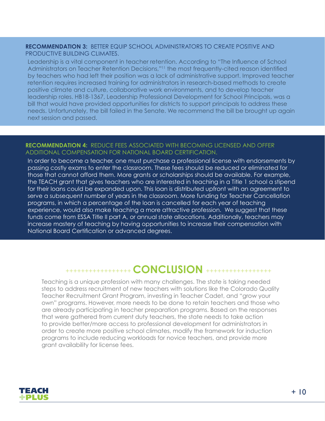#### **RECOMMENDATION 3:** BETTER EQUIP SCHOOL ADMINISTRATORS TO CREATE POSITIVE AND PRODUCTIVE BUILDING CLIMATES.

Leadership is a vital component in teacher retention. According to "The Influence of School Administrators on Teacher Retention Decisions,"<sup>11</sup> the most frequently-cited reason identified by teachers who had left their position was a lack of administrative support. Improved teacher retention requires increased training for administrators in research-based methods to create positive climate and culture, collaborative work environments, and to develop teacher leadership roles. HB18-1367, Leadership Professional Development for School Principals, was a bill that would have provided opportunities for districts to support principals to address these needs. Unfortunately, the bill failed in the Senate. We recommend the bill be brought up again next session and passed.

#### **RECOMMENDATION 4:** REDUCE FEES ASSOCIATED WITH BECOMING LICENSED AND OFFER ADDITIONAL COMPENSATION FOR NATIONAL BOARD CERTIFICATION.

In order to become a teacher, one must purchase a professional license with endorsements by passing costly exams to enter the classroom. These fees should be reduced or eliminated for those that cannot afford them. More grants or scholarships should be available. For example, the TEACH grant that gives teachers who are interested in teaching in a Title 1 school a stipend for their loans could be expanded upon. This loan is distributed upfront with an agreement to serve a subsequent number of years in the classroom. More funding for Teacher Cancellation programs, in which a percentage of the loan is cancelled for each year of teaching experience, would also make teaching a more attractive profession. We suggest that these funds come from ESSA Title II part A, or annual state allocations. Additionally, teachers may increase mastery of teaching by having opportunities to increase their compensation with National Board Certification or advanced degrees.

### +++++++++++++++++ **CONCLUSION** +++++++++++++++++

Teaching is a unique profession with many challenges. The state is taking needed steps to address recruitment of new teachers with solutions like the Colorado Quality Teacher Recruitment Grant Program, investing in Teacher Cadet, and "grow your own" programs. However, more needs to be done to retain teachers and those who are already participating in teacher preparation programs. Based on the responses that were gathered from current duty teachers, the state needs to take action to provide better/more access to professional development for administrators in order to create more positive school climates, modify the framework for induction programs to include reducing workloads for novice teachers, and provide more grant availability for license fees.

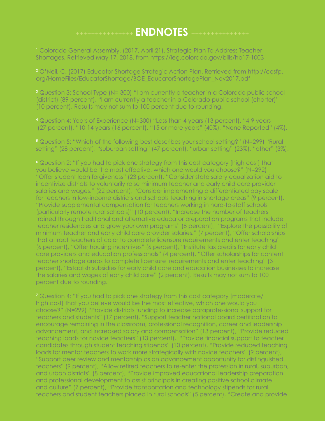# +++++++++++++++ **ENDNOTES** +++++++++++++++

**1** Colorado General Assembly. (2017, April 21). Strategic Plan To Address Teacher Shortages. Retrieved May 17, 2018, from https://leg.colorado.gov/bills/hb17-1003

**2** O'Neil, C. (2017) Educator Shortage Strategic Action Plan. Retrieved from http://cosfp. org/HomeFiles/EducatorShortage/BOE\_EducatorShortagePlan\_Nov2017.pdf

**3** Question 3: School Type (N= 300) "I am currently a teacher in a Colorado public school (district) (89 percent), "I am currently a teacher in a Colorado public school (charter)" (10 percent). Results may not sum to 100 percent due to rounding.

- **4** Question 4: Years of Experience (N=300) "Less than 4 years (13 percent), "4-9 years (27 percent), "10-14 years (16 percent), "15 or more years" (40%), "None Reported" (4%).
- **5** Question 5: "Which of the following best describes your school setting?" (N=299) "Rural setting" (28 percent), "suburban setting" (47 percent), "urban setting" (23%), "other" (3%).

**6** Question 2: "If you had to pick one strategy from this cost category [high cost] that you believe would be the most effective, which one would you choose?" (N=292) "Offer student loan forgiveness" (23 percent), "Consider state salary equalization aid to incentivize districts to voluntarily raise minimum teacher and early child care provider salaries and wages." (22 percent), "Consider implementing a differentiated pay scale for teachers in low-income districts and schools teaching in shortage areas" (9 percent), "Provide supplemental compensation for teachers working in hard-to-staff schools (particularly remote rural schools)" (10 percent), "Increase the number of teachers trained through traditional and alternative educator preparation programs that include teacher residencies and grow your own programs" (8 percent), "Explore the possibility of minimum teacher and early child care provider salaries." (7 percent), "Offer scholarships that attract teachers of color to complete licensure requirements and enter teaching" (6 percent), "Offer housing incentives" (6 percent), "Institute tax credits for early child care providers and education professionals" (4 percent), "Offer scholarships for content teacher shortage areas to complete licensure requirements and enter teaching" (3 percent), "Establish subsidies for early child care and education businesses to increase the salaries and wages of early child care" (2 percent). Results may not sum to 100 percent due to rounding.

**7** Question 4: "If you had to pick one strategy from this cost category [moderate/ high cost] that you believe would be the most effective, which one would you choose?" (N=299) "Provide districts funding to increase paraprofessional support for teachers and students" (17 percent), "Support teacher national board certification to encourage remaining in the classroom, professional recognition, career and leadership advancement, and increased salary and compensation" (13 percent), "Provide reduced teaching loads for novice teachers" (13 percent), "Provide financial support to teacher candidates through student teaching stipends" (10 percent), "Provide reduced teaching loads for mentor teachers to work more strategically with novice teachers" (9 percent), "Support peer review and mentorship as an advancement opportunity for distinguished teachers" (9 percent), "Allow retired teachers to re-enter the profession in rural, suburban, and urban districts" (8 percent), "Provide improved educational leadership preparation and professional development to assist principals in creating positive school climate and culture" (7 percent), "Provide transportation and technology stipends for rural teachers and student teachers placed in rural schools" (5 percent), "Create and provide